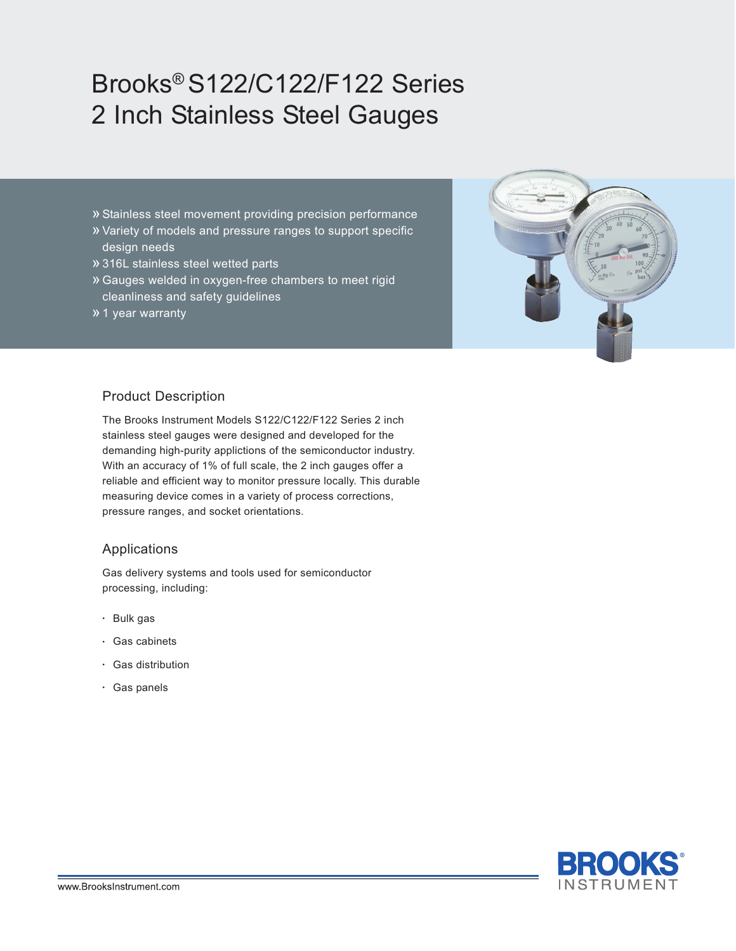# Brooks® S122/C122/F122 Series 2 Inch Stainless Steel Gauges

- » Stainless steel movement providing precision performance
- » Variety of models and pressure ranges to support specific design needs
- »316L stainless steel wetted parts
- » Gauges welded in oxygen-free chambers to meet rigid cleanliness and safety guidelines
- »1 year warranty



#### Product Description

The Brooks Instrument Models S122/C122/F122 Series 2 inch stainless steel gauges were designed and developed for the demanding high-purity applictions of the semiconductor industry. With an accuracy of 1% of full scale, the 2 inch gauges offer a reliable and efficient way to monitor pressure locally. This durable measuring device comes in a variety of process corrections, pressure ranges, and socket orientations.

#### Applications

Gas delivery systems and tools used for semiconductor processing, including:

- Bulk gas
- Gas cabinets
- Gas distribution
- Gas panels